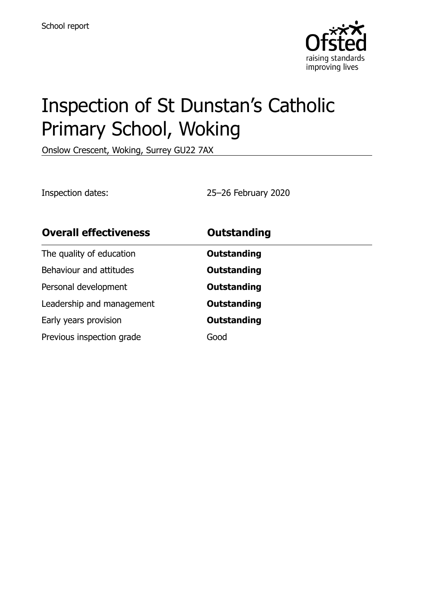

# Inspection of St Dunstan's Catholic Primary School, Woking

Onslow Crescent, Woking, Surrey GU22 7AX

Inspection dates: 25–26 February 2020

| <b>Overall effectiveness</b> | <b>Outstanding</b> |
|------------------------------|--------------------|
| The quality of education     | Outstanding        |
| Behaviour and attitudes      | <b>Outstanding</b> |
| Personal development         | Outstanding        |
| Leadership and management    | <b>Outstanding</b> |
| Early years provision        | <b>Outstanding</b> |
| Previous inspection grade    | Good               |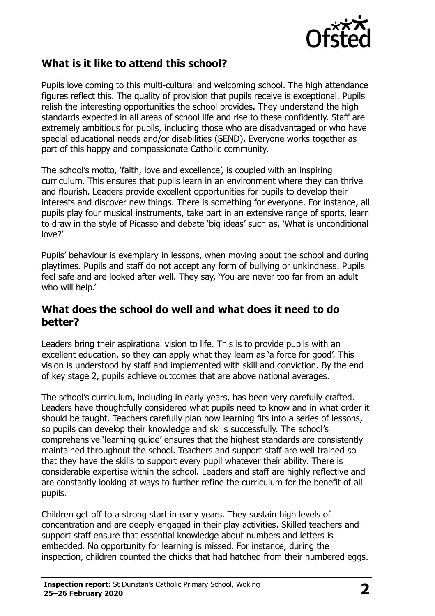

## **What is it like to attend this school?**

Pupils love coming to this multi-cultural and welcoming school. The high attendance figures reflect this. The quality of provision that pupils receive is exceptional. Pupils relish the interesting opportunities the school provides. They understand the high standards expected in all areas of school life and rise to these confidently. Staff are extremely ambitious for pupils, including those who are disadvantaged or who have special educational needs and/or disabilities (SEND). Everyone works together as part of this happy and compassionate Catholic community.

The school's motto, 'faith, love and excellence', is coupled with an inspiring curriculum. This ensures that pupils learn in an environment where they can thrive and flourish. Leaders provide excellent opportunities for pupils to develop their interests and discover new things. There is something for everyone. For instance, all pupils play four musical instruments, take part in an extensive range of sports, learn to draw in the style of Picasso and debate 'big ideas' such as, 'What is unconditional love?'

Pupils' behaviour is exemplary in lessons, when moving about the school and during playtimes. Pupils and staff do not accept any form of bullying or unkindness. Pupils feel safe and are looked after well. They say, 'You are never too far from an adult who will help.'

#### **What does the school do well and what does it need to do better?**

Leaders bring their aspirational vision to life. This is to provide pupils with an excellent education, so they can apply what they learn as 'a force for good'. This vision is understood by staff and implemented with skill and conviction. By the end of key stage 2, pupils achieve outcomes that are above national averages.

The school's curriculum, including in early years, has been very carefully crafted. Leaders have thoughtfully considered what pupils need to know and in what order it should be taught. Teachers carefully plan how learning fits into a series of lessons, so pupils can develop their knowledge and skills successfully. The school's comprehensive 'learning guide' ensures that the highest standards are consistently maintained throughout the school. Teachers and support staff are well trained so that they have the skills to support every pupil whatever their ability. There is considerable expertise within the school. Leaders and staff are highly reflective and are constantly looking at ways to further refine the curriculum for the benefit of all pupils.

Children get off to a strong start in early years. They sustain high levels of concentration and are deeply engaged in their play activities. Skilled teachers and support staff ensure that essential knowledge about numbers and letters is embedded. No opportunity for learning is missed. For instance, during the inspection, children counted the chicks that had hatched from their numbered eggs.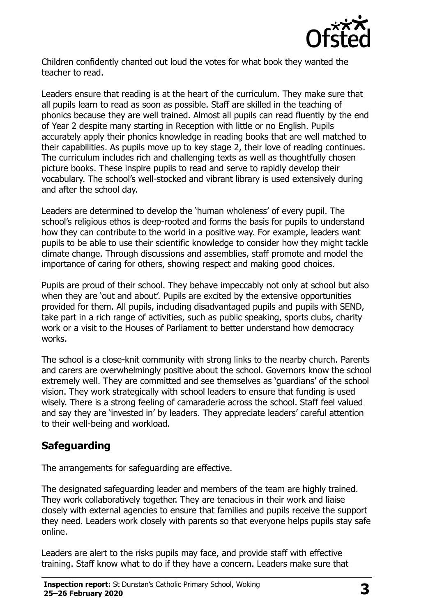

Children confidently chanted out loud the votes for what book they wanted the teacher to read.

Leaders ensure that reading is at the heart of the curriculum. They make sure that all pupils learn to read as soon as possible. Staff are skilled in the teaching of phonics because they are well trained. Almost all pupils can read fluently by the end of Year 2 despite many starting in Reception with little or no English. Pupils accurately apply their phonics knowledge in reading books that are well matched to their capabilities. As pupils move up to key stage 2, their love of reading continues. The curriculum includes rich and challenging texts as well as thoughtfully chosen picture books. These inspire pupils to read and serve to rapidly develop their vocabulary. The school's well-stocked and vibrant library is used extensively during and after the school day.

Leaders are determined to develop the 'human wholeness' of every pupil. The school's religious ethos is deep-rooted and forms the basis for pupils to understand how they can contribute to the world in a positive way. For example, leaders want pupils to be able to use their scientific knowledge to consider how they might tackle climate change. Through discussions and assemblies, staff promote and model the importance of caring for others, showing respect and making good choices.

Pupils are proud of their school. They behave impeccably not only at school but also when they are 'out and about'. Pupils are excited by the extensive opportunities provided for them. All pupils, including disadvantaged pupils and pupils with SEND, take part in a rich range of activities, such as public speaking, sports clubs, charity work or a visit to the Houses of Parliament to better understand how democracy works.

The school is a close-knit community with strong links to the nearby church. Parents and carers are overwhelmingly positive about the school. Governors know the school extremely well. They are committed and see themselves as 'guardians' of the school vision. They work strategically with school leaders to ensure that funding is used wisely. There is a strong feeling of camaraderie across the school. Staff feel valued and say they are 'invested in' by leaders. They appreciate leaders' careful attention to their well-being and workload.

# **Safeguarding**

The arrangements for safeguarding are effective.

The designated safeguarding leader and members of the team are highly trained. They work collaboratively together. They are tenacious in their work and liaise closely with external agencies to ensure that families and pupils receive the support they need. Leaders work closely with parents so that everyone helps pupils stay safe online.

Leaders are alert to the risks pupils may face, and provide staff with effective training. Staff know what to do if they have a concern. Leaders make sure that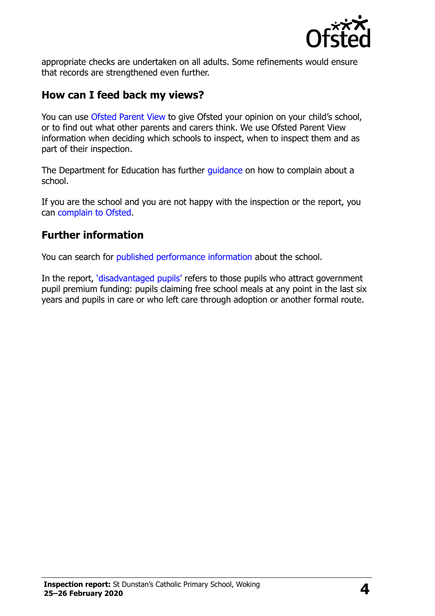

appropriate checks are undertaken on all adults. Some refinements would ensure that records are strengthened even further.

#### **How can I feed back my views?**

You can use [Ofsted Parent View](http://parentview.ofsted.gov.uk/) to give Ofsted your opinion on your child's school, or to find out what other parents and carers think. We use Ofsted Parent View information when deciding which schools to inspect, when to inspect them and as part of their inspection.

The Department for Education has further *guidance* on how to complain about a school.

If you are the school and you are not happy with the inspection or the report, you can [complain to Ofsted.](http://www.gov.uk/complain-ofsted-report)

### **Further information**

You can search for [published performance information](http://www.compare-school-performance.service.gov.uk/) about the school.

In the report, '[disadvantaged pupils](http://www.gov.uk/guidance/pupil-premium-information-for-schools-and-alternative-provision-settings)' refers to those pupils who attract government pupil premium funding: pupils claiming free school meals at any point in the last six years and pupils in care or who left care through adoption or another formal route.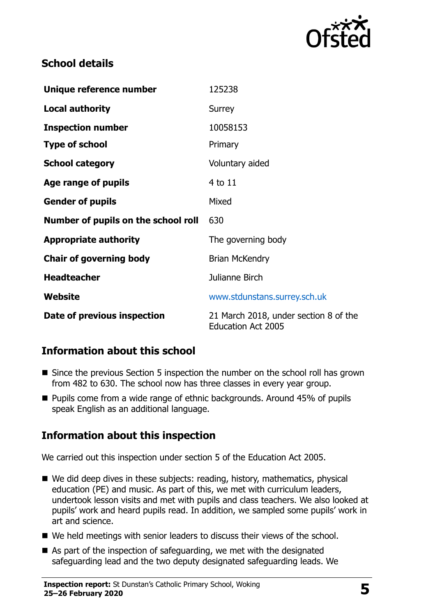

# **School details**

| Unique reference number             | 125238                                                             |  |
|-------------------------------------|--------------------------------------------------------------------|--|
| <b>Local authority</b>              | Surrey                                                             |  |
| <b>Inspection number</b>            | 10058153                                                           |  |
| <b>Type of school</b>               | Primary                                                            |  |
| <b>School category</b>              | Voluntary aided                                                    |  |
| Age range of pupils                 | $4$ to $11$                                                        |  |
| <b>Gender of pupils</b>             | Mixed                                                              |  |
| Number of pupils on the school roll | 630                                                                |  |
| <b>Appropriate authority</b>        | The governing body                                                 |  |
| <b>Chair of governing body</b>      | <b>Brian McKendry</b>                                              |  |
| <b>Headteacher</b>                  | Julianne Birch                                                     |  |
| Website                             | www.stdunstans.surrey.sch.uk                                       |  |
| Date of previous inspection         | 21 March 2018, under section 8 of the<br><b>Education Act 2005</b> |  |

# **Information about this school**

- Since the previous Section 5 inspection the number on the school roll has grown from 482 to 630. The school now has three classes in every year group.
- Pupils come from a wide range of ethnic backgrounds. Around 45% of pupils speak English as an additional language.

# **Information about this inspection**

We carried out this inspection under section 5 of the Education Act 2005.

- We did deep dives in these subjects: reading, history, mathematics, physical education (PE) and music. As part of this, we met with curriculum leaders, undertook lesson visits and met with pupils and class teachers. We also looked at pupils' work and heard pupils read. In addition, we sampled some pupils' work in art and science.
- We held meetings with senior leaders to discuss their views of the school.
- As part of the inspection of safeguarding, we met with the designated safeguarding lead and the two deputy designated safeguarding leads. We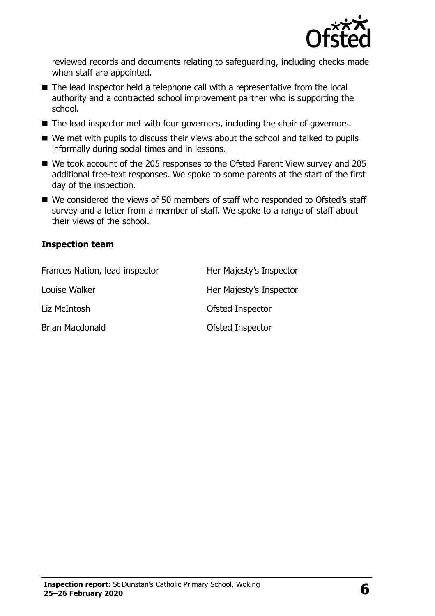

reviewed records and documents relating to safeguarding, including checks made when staff are appointed.

- The lead inspector held a telephone call with a representative from the local authority and a contracted school improvement partner who is supporting the school.
- The lead inspector met with four governors, including the chair of governors.
- We met with pupils to discuss their views about the school and talked to pupils informally during social times and in lessons.
- We took account of the 205 responses to the Ofsted Parent View survey and 205 additional free-text responses. We spoke to some parents at the start of the first day of the inspection.
- We considered the views of 50 members of staff who responded to Ofsted's staff survey and a letter from a member of staff. We spoke to a range of staff about their views of the school.

#### **Inspection team**

| Frances Nation, lead inspector | Her Majesty's Inspector |
|--------------------------------|-------------------------|
| Louise Walker                  | Her Majesty's Inspector |
| Liz McIntosh                   | Ofsted Inspector        |
| <b>Brian Macdonald</b>         | Ofsted Inspector        |